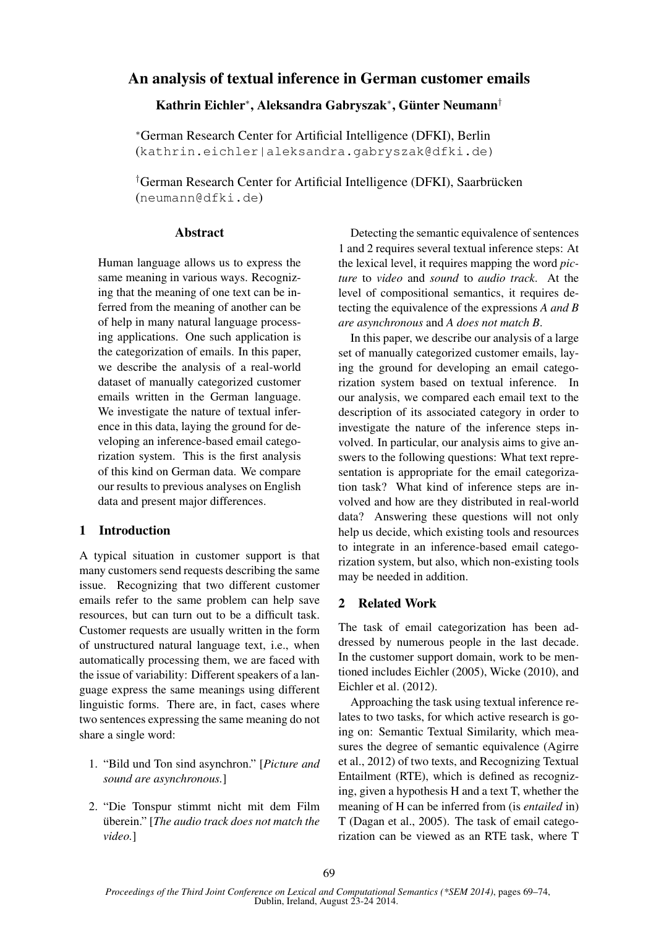# An analysis of textual inference in German customer emails

### Kathrin Eichler\*, Aleksandra Gabryszak\*, Günter Neumann†

<sup>∗</sup>German Research Center for Artificial Intelligence (DFKI), Berlin (kathrin.eichler|aleksandra.gabryszak@dfki.de)

 $\dagger$ German Research Center for Artificial Intelligence (DFKI), Saarbrücken (neumann@dfki.de)

#### **Abstract**

Human language allows us to express the same meaning in various ways. Recognizing that the meaning of one text can be inferred from the meaning of another can be of help in many natural language processing applications. One such application is the categorization of emails. In this paper, we describe the analysis of a real-world dataset of manually categorized customer emails written in the German language. We investigate the nature of textual inference in this data, laying the ground for developing an inference-based email categorization system. This is the first analysis of this kind on German data. We compare our results to previous analyses on English data and present major differences.

# 1 Introduction

A typical situation in customer support is that many customers send requests describing the same issue. Recognizing that two different customer emails refer to the same problem can help save resources, but can turn out to be a difficult task. Customer requests are usually written in the form of unstructured natural language text, i.e., when automatically processing them, we are faced with the issue of variability: Different speakers of a language express the same meanings using different linguistic forms. There are, in fact, cases where two sentences expressing the same meaning do not share a single word:

- 1. "Bild und Ton sind asynchron." [*Picture and sound are asynchronous.*]
- 2. "Die Tonspur stimmt nicht mit dem Film überein." [*The audio track does not match the video.*]

Detecting the semantic equivalence of sentences 1 and 2 requires several textual inference steps: At the lexical level, it requires mapping the word *picture* to *video* and *sound* to *audio track*. At the level of compositional semantics, it requires detecting the equivalence of the expressions *A and B are asynchronous* and *A does not match B*.

In this paper, we describe our analysis of a large set of manually categorized customer emails, laying the ground for developing an email categorization system based on textual inference. In our analysis, we compared each email text to the description of its associated category in order to investigate the nature of the inference steps involved. In particular, our analysis aims to give answers to the following questions: What text representation is appropriate for the email categorization task? What kind of inference steps are involved and how are they distributed in real-world data? Answering these questions will not only help us decide, which existing tools and resources to integrate in an inference-based email categorization system, but also, which non-existing tools may be needed in addition.

### 2 Related Work

The task of email categorization has been addressed by numerous people in the last decade. In the customer support domain, work to be mentioned includes Eichler (2005), Wicke (2010), and Eichler et al. (2012).

Approaching the task using textual inference relates to two tasks, for which active research is going on: Semantic Textual Similarity, which measures the degree of semantic equivalence (Agirre et al., 2012) of two texts, and Recognizing Textual Entailment (RTE), which is defined as recognizing, given a hypothesis H and a text T, whether the meaning of H can be inferred from (is *entailed* in) T (Dagan et al., 2005). The task of email categorization can be viewed as an RTE task, where T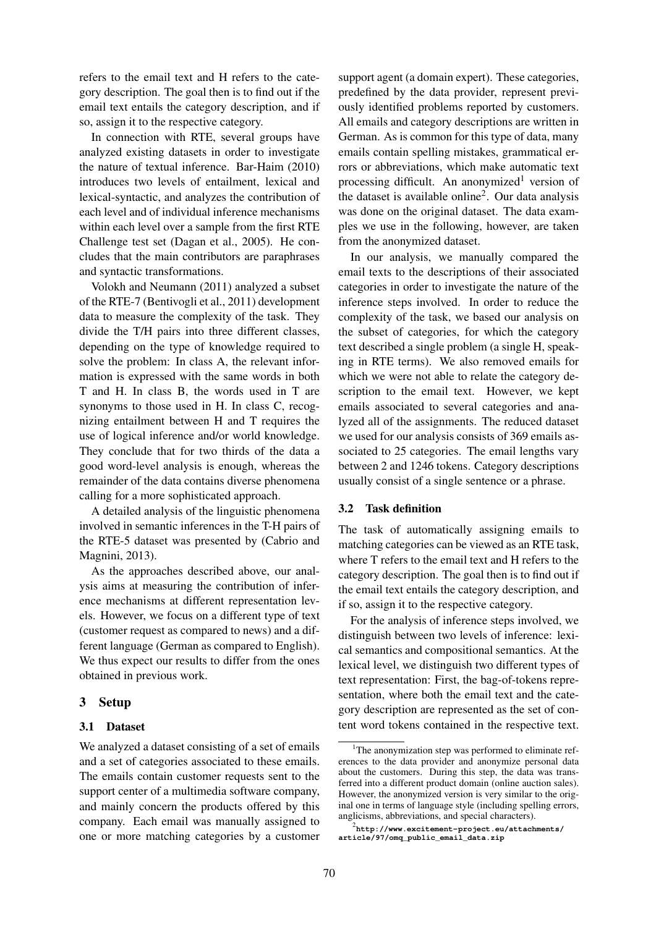refers to the email text and H refers to the category description. The goal then is to find out if the email text entails the category description, and if so, assign it to the respective category.

In connection with RTE, several groups have analyzed existing datasets in order to investigate the nature of textual inference. Bar-Haim (2010) introduces two levels of entailment, lexical and lexical-syntactic, and analyzes the contribution of each level and of individual inference mechanisms within each level over a sample from the first RTE Challenge test set (Dagan et al., 2005). He concludes that the main contributors are paraphrases and syntactic transformations.

Volokh and Neumann (2011) analyzed a subset of the RTE-7 (Bentivogli et al., 2011) development data to measure the complexity of the task. They divide the T/H pairs into three different classes, depending on the type of knowledge required to solve the problem: In class A, the relevant information is expressed with the same words in both T and H. In class B, the words used in T are synonyms to those used in H. In class C, recognizing entailment between H and T requires the use of logical inference and/or world knowledge. They conclude that for two thirds of the data a good word-level analysis is enough, whereas the remainder of the data contains diverse phenomena calling for a more sophisticated approach.

A detailed analysis of the linguistic phenomena involved in semantic inferences in the T-H pairs of the RTE-5 dataset was presented by (Cabrio and Magnini, 2013).

As the approaches described above, our analysis aims at measuring the contribution of inference mechanisms at different representation levels. However, we focus on a different type of text (customer request as compared to news) and a different language (German as compared to English). We thus expect our results to differ from the ones obtained in previous work.

### 3 Setup

### 3.1 Dataset

We analyzed a dataset consisting of a set of emails and a set of categories associated to these emails. The emails contain customer requests sent to the support center of a multimedia software company, and mainly concern the products offered by this company. Each email was manually assigned to one or more matching categories by a customer

support agent (a domain expert). These categories, predefined by the data provider, represent previously identified problems reported by customers. All emails and category descriptions are written in German. As is common for this type of data, many emails contain spelling mistakes, grammatical errors or abbreviations, which make automatic text processing difficult. An anonymized<sup>1</sup> version of the dataset is available online<sup>2</sup>. Our data analysis was done on the original dataset. The data examples we use in the following, however, are taken from the anonymized dataset.

In our analysis, we manually compared the email texts to the descriptions of their associated categories in order to investigate the nature of the inference steps involved. In order to reduce the complexity of the task, we based our analysis on the subset of categories, for which the category text described a single problem (a single H, speaking in RTE terms). We also removed emails for which we were not able to relate the category description to the email text. However, we kept emails associated to several categories and analyzed all of the assignments. The reduced dataset we used for our analysis consists of 369 emails associated to 25 categories. The email lengths vary between 2 and 1246 tokens. Category descriptions usually consist of a single sentence or a phrase.

### 3.2 Task definition

The task of automatically assigning emails to matching categories can be viewed as an RTE task, where T refers to the email text and H refers to the category description. The goal then is to find out if the email text entails the category description, and if so, assign it to the respective category.

For the analysis of inference steps involved, we distinguish between two levels of inference: lexical semantics and compositional semantics. At the lexical level, we distinguish two different types of text representation: First, the bag-of-tokens representation, where both the email text and the category description are represented as the set of content word tokens contained in the respective text.

<sup>&</sup>lt;sup>1</sup>The anonymization step was performed to eliminate references to the data provider and anonymize personal data about the customers. During this step, the data was transferred into a different product domain (online auction sales). However, the anonymized version is very similar to the original one in terms of language style (including spelling errors, anglicisms, abbreviations, and special characters).

<sup>2</sup> **http://www.excitement-project.eu/attachments/ article/97/omq\_public\_email\_data.zip**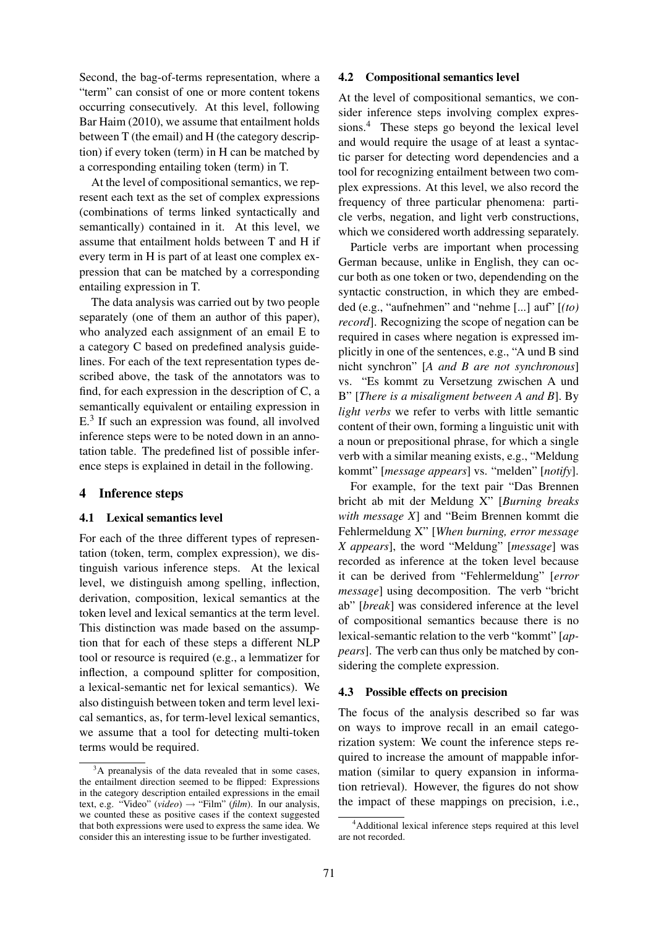Second, the bag-of-terms representation, where a "term" can consist of one or more content tokens occurring consecutively. At this level, following Bar Haim (2010), we assume that entailment holds between T (the email) and H (the category description) if every token (term) in H can be matched by a corresponding entailing token (term) in T.

At the level of compositional semantics, we represent each text as the set of complex expressions (combinations of terms linked syntactically and semantically) contained in it. At this level, we assume that entailment holds between T and H if every term in H is part of at least one complex expression that can be matched by a corresponding entailing expression in T.

The data analysis was carried out by two people separately (one of them an author of this paper), who analyzed each assignment of an email E to a category C based on predefined analysis guidelines. For each of the text representation types described above, the task of the annotators was to find, for each expression in the description of C, a semantically equivalent or entailing expression in E.<sup>3</sup> If such an expression was found, all involved inference steps were to be noted down in an annotation table. The predefined list of possible inference steps is explained in detail in the following.

### 4 Inference steps

#### 4.1 Lexical semantics level

For each of the three different types of representation (token, term, complex expression), we distinguish various inference steps. At the lexical level, we distinguish among spelling, inflection, derivation, composition, lexical semantics at the token level and lexical semantics at the term level. This distinction was made based on the assumption that for each of these steps a different NLP tool or resource is required (e.g., a lemmatizer for inflection, a compound splitter for composition, a lexical-semantic net for lexical semantics). We also distinguish between token and term level lexical semantics, as, for term-level lexical semantics, we assume that a tool for detecting multi-token terms would be required.

#### 4.2 Compositional semantics level

At the level of compositional semantics, we consider inference steps involving complex expressions.<sup>4</sup> These steps go beyond the lexical level and would require the usage of at least a syntactic parser for detecting word dependencies and a tool for recognizing entailment between two complex expressions. At this level, we also record the frequency of three particular phenomena: particle verbs, negation, and light verb constructions, which we considered worth addressing separately.

Particle verbs are important when processing German because, unlike in English, they can occur both as one token or two, dependending on the syntactic construction, in which they are embedded (e.g., "aufnehmen" and "nehme [...] auf" [*(to) record*]. Recognizing the scope of negation can be required in cases where negation is expressed implicitly in one of the sentences, e.g., "A und B sind nicht synchron" [*A and B are not synchronous*] vs. "Es kommt zu Versetzung zwischen A und B" [*There is a misaligment between A and B*]. By *light verbs* we refer to verbs with little semantic content of their own, forming a linguistic unit with a noun or prepositional phrase, for which a single verb with a similar meaning exists, e.g., "Meldung kommt" [*message appears*] vs. "melden" [*notify*].

For example, for the text pair "Das Brennen bricht ab mit der Meldung X" [*Burning breaks with message X*] and "Beim Brennen kommt die Fehlermeldung X" [*When burning, error message X appears*], the word "Meldung" [*message*] was recorded as inference at the token level because it can be derived from "Fehlermeldung" [*error message*] using decomposition. The verb "bricht ab" [*break*] was considered inference at the level of compositional semantics because there is no lexical-semantic relation to the verb "kommt" [*appears*]. The verb can thus only be matched by considering the complete expression.

#### 4.3 Possible effects on precision

The focus of the analysis described so far was on ways to improve recall in an email categorization system: We count the inference steps required to increase the amount of mappable information (similar to query expansion in information retrieval). However, the figures do not show the impact of these mappings on precision, i.e.,

<sup>&</sup>lt;sup>3</sup>A preanalysis of the data revealed that in some cases, the entailment direction seemed to be flipped: Expressions in the category description entailed expressions in the email text, e.g. "Video" (*video*)  $\rightarrow$  "Film" (*film*). In our analysis, we counted these as positive cases if the context suggested that both expressions were used to express the same idea. We consider this an interesting issue to be further investigated.

<sup>4</sup>Additional lexical inference steps required at this level are not recorded.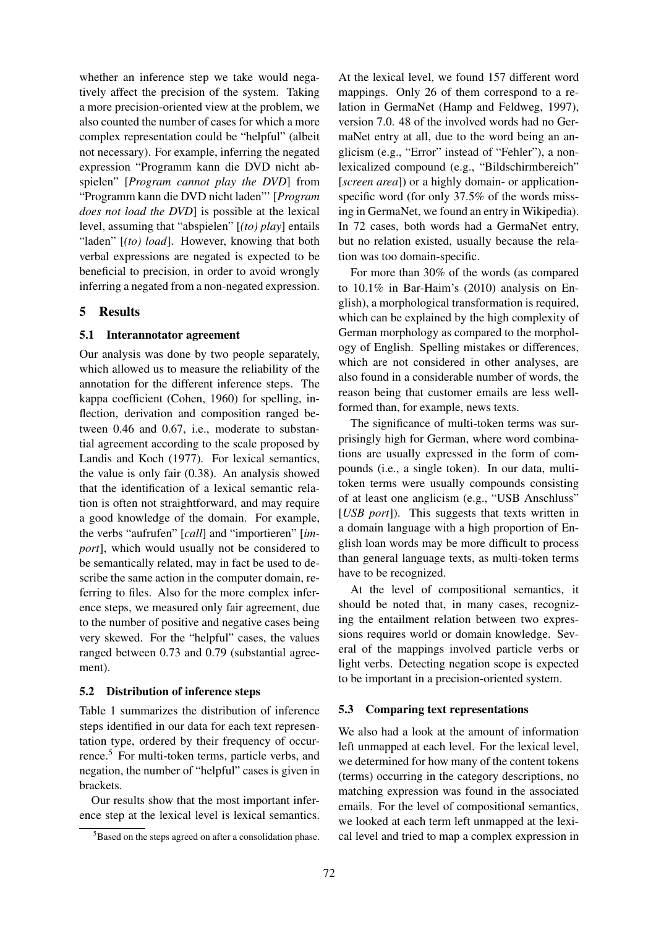whether an inference step we take would negatively affect the precision of the system. Taking a more precision-oriented view at the problem, we also counted the number of cases for which a more complex representation could be "helpful" (albeit not necessary). For example, inferring the negated expression "Programm kann die DVD nicht abspielen" [*Program cannot play the DVD*] from "Programm kann die DVD nicht laden"' [*Program does not load the DVD*] is possible at the lexical level, assuming that "abspielen" [*(to) play*] entails "laden" [*(to) load*]. However, knowing that both verbal expressions are negated is expected to be beneficial to precision, in order to avoid wrongly inferring a negated from a non-negated expression.

# 5 Results

### 5.1 Interannotator agreement

Our analysis was done by two people separately, which allowed us to measure the reliability of the annotation for the different inference steps. The kappa coefficient (Cohen, 1960) for spelling, inflection, derivation and composition ranged between 0.46 and 0.67, i.e., moderate to substantial agreement according to the scale proposed by Landis and Koch (1977). For lexical semantics, the value is only fair (0.38). An analysis showed that the identification of a lexical semantic relation is often not straightforward, and may require a good knowledge of the domain. For example, the verbs "aufrufen" [*call*] and "importieren" [*import*], which would usually not be considered to be semantically related, may in fact be used to describe the same action in the computer domain, referring to files. Also for the more complex inference steps, we measured only fair agreement, due to the number of positive and negative cases being very skewed. For the "helpful" cases, the values ranged between 0.73 and 0.79 (substantial agreement).

### 5.2 Distribution of inference steps

Table 1 summarizes the distribution of inference steps identified in our data for each text representation type, ordered by their frequency of occurrence.<sup>5</sup> For multi-token terms, particle verbs, and negation, the number of "helpful" cases is given in brackets.

Our results show that the most important inference step at the lexical level is lexical semantics.

At the lexical level, we found 157 different word mappings. Only 26 of them correspond to a relation in GermaNet (Hamp and Feldweg, 1997), version 7.0. 48 of the involved words had no GermaNet entry at all, due to the word being an anglicism (e.g., "Error" instead of "Fehler"), a nonlexicalized compound (e.g., "Bildschirmbereich" [*screen area*]) or a highly domain- or applicationspecific word (for only 37.5% of the words missing in GermaNet, we found an entry in Wikipedia). In 72 cases, both words had a GermaNet entry, but no relation existed, usually because the relation was too domain-specific.

For more than 30% of the words (as compared to 10.1% in Bar-Haim's (2010) analysis on English), a morphological transformation is required, which can be explained by the high complexity of German morphology as compared to the morphology of English. Spelling mistakes or differences, which are not considered in other analyses, are also found in a considerable number of words, the reason being that customer emails are less wellformed than, for example, news texts.

The significance of multi-token terms was surprisingly high for German, where word combinations are usually expressed in the form of compounds (i.e., a single token). In our data, multitoken terms were usually compounds consisting of at least one anglicism (e.g., "USB Anschluss" [*USB port*]). This suggests that texts written in a domain language with a high proportion of English loan words may be more difficult to process than general language texts, as multi-token terms have to be recognized.

At the level of compositional semantics, it should be noted that, in many cases, recognizing the entailment relation between two expressions requires world or domain knowledge. Several of the mappings involved particle verbs or light verbs. Detecting negation scope is expected to be important in a precision-oriented system.

#### 5.3 Comparing text representations

We also had a look at the amount of information left unmapped at each level. For the lexical level, we determined for how many of the content tokens (terms) occurring in the category descriptions, no matching expression was found in the associated emails. For the level of compositional semantics, we looked at each term left unmapped at the lexical level and tried to map a complex expression in

<sup>5</sup>Based on the steps agreed on after a consolidation phase.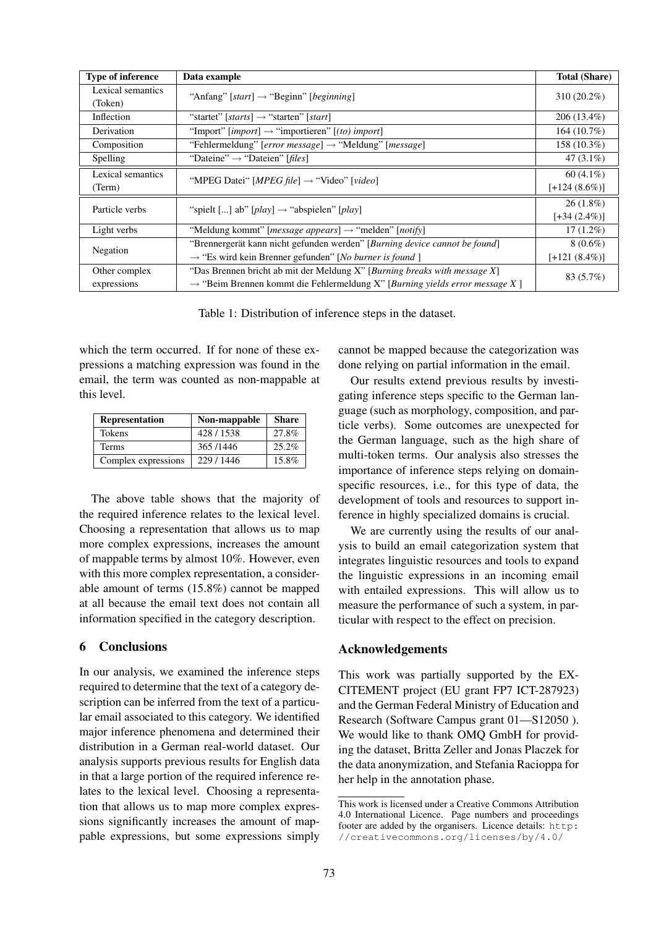| <b>Type of inference</b>     | Data example                                                                            | <b>Total (Share)</b> |  |
|------------------------------|-----------------------------------------------------------------------------------------|----------------------|--|
| Lexical semantics<br>(Token) | "Anfang" [start] $\rightarrow$ "Beginn" [beginning]                                     | $310(20.2\%)$        |  |
| Inflection                   | "startet" [starts] $\rightarrow$ "starten" [start]                                      | $206(13.4\%)$        |  |
| Derivation                   | "Import" [ <i>import</i> ] $\rightarrow$ "importieren" [ <i>(to) import</i> ]           | 164(10.7%)           |  |
| Composition                  | "Fehlermeldung" [error message] $\rightarrow$ "Meldung" [message]                       | 158 (10.3%)          |  |
| Spelling                     | "Dateine" $\rightarrow$ "Dateien" [files]                                               | 47 $(3.1\%)$         |  |
| Lexical semantics            |                                                                                         | $60(4.1\%)$          |  |
| (Term)                       | "MPEG Datei" [ <i>MPEG file</i> ] $\rightarrow$ "Video" [video]                         | $[-124(8.6\%)]$      |  |
| Particle verbs               | "spielt [] ab" [play] $\rightarrow$ "abspielen" [play]                                  | $26(1.8\%)$          |  |
|                              |                                                                                         | $[-34 (2.4\%)]$      |  |
| Light verbs                  | "Meldung kommt" [ <i>message appears</i> ] $\rightarrow$ "melden" [ <i>notify</i> ]     | $17(1.2\%)$          |  |
| Negation                     | "Brennergerät kann nicht gefunden werden" [Burning device cannot be found]              | $8(0.6\%)$           |  |
|                              | $\rightarrow$ "Es wird kein Brenner gefunden" [No burner is found]                      | $[-121 (8.4\%)]$     |  |
| Other complex                | "Das Brennen bricht ab mit der Meldung X" [Burning breaks with message X]               | 83 (5.7%)            |  |
| expressions                  | $\rightarrow$ "Beim Brennen kommt die Fehlermeldung X" [Burning yields error message X] |                      |  |

Table 1: Distribution of inference steps in the dataset.

which the term occurred. If for none of these expressions a matching expression was found in the email, the term was counted as non-mappable at this level.

| <b>Representation</b> | Non-mappable | <b>Share</b> |
|-----------------------|--------------|--------------|
| <b>Tokens</b>         | 428/1538     | 27.8%        |
| <b>Terms</b>          | 365/1446     | 25.2%        |
| Complex expressions   | 229/1446     | 15.8%        |

The above table shows that the majority of the required inference relates to the lexical level. Choosing a representation that allows us to map more complex expressions, increases the amount of mappable terms by almost 10%. However, even with this more complex representation, a considerable amount of terms (15.8%) cannot be mapped at all because the email text does not contain all information specified in the category description.

# 6 Conclusions

In our analysis, we examined the inference steps required to determine that the text of a category description can be inferred from the text of a particular email associated to this category. We identified major inference phenomena and determined their distribution in a German real-world dataset. Our analysis supports previous results for English data in that a large portion of the required inference relates to the lexical level. Choosing a representation that allows us to map more complex expressions significantly increases the amount of mappable expressions, but some expressions simply

cannot be mapped because the categorization was done relying on partial information in the email.

Our results extend previous results by investigating inference steps specific to the German language (such as morphology, composition, and particle verbs). Some outcomes are unexpected for the German language, such as the high share of multi-token terms. Our analysis also stresses the importance of inference steps relying on domainspecific resources, i.e., for this type of data, the development of tools and resources to support inference in highly specialized domains is crucial.

We are currently using the results of our analysis to build an email categorization system that integrates linguistic resources and tools to expand the linguistic expressions in an incoming email with entailed expressions. This will allow us to measure the performance of such a system, in particular with respect to the effect on precision.

# Acknowledgements

This work was partially supported by the EX-CITEMENT project (EU grant FP7 ICT-287923) and the German Federal Ministry of Education and Research (Software Campus grant 01—S12050 ). We would like to thank OMO GmbH for providing the dataset, Britta Zeller and Jonas Placzek for the data anonymization, and Stefania Racioppa for her help in the annotation phase.

This work is licensed under a Creative Commons Attribution 4.0 International Licence. Page numbers and proceedings footer are added by the organisers. Licence details: http: //creativecommons.org/licenses/by/4.0/